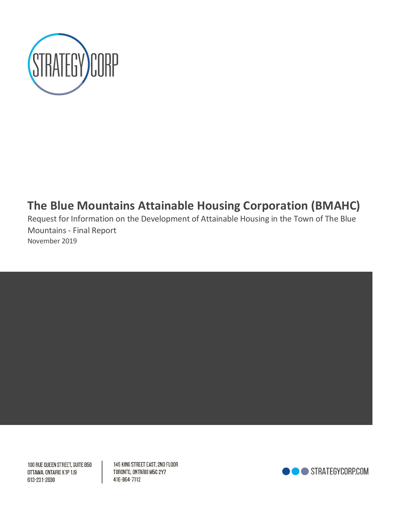

# **The Blue Mountains Attainable Housing Corporation (BMAHC)**

Request for Information on the Development of Attainable Housing in the Town of The Blue Mountains - Final Report November 2019



100 RUE QUEEN STREET, SUITE 850 OTTAWA, ONTARIO K1P 1J9 613-231-2630

145 KING STREET EAST, 2ND FLOOR TORONTO, ONTARIO M5C 2Y7 416-864-7112

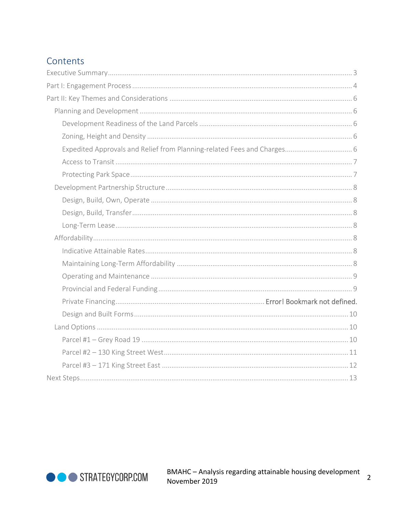# Contents

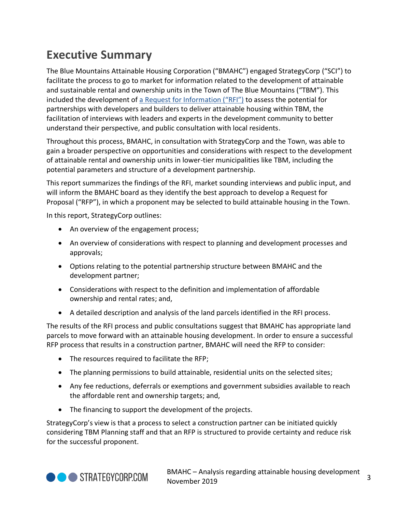# <span id="page-2-0"></span>**Executive Summary**

The Blue Mountains Attainable Housing Corporation ("BMAHC") engaged StrategyCorp ("SCI") to facilitate the process to go to market for information related to the development of attainable and sustainable rental and ownership units in the Town of The Blue Mountains ("TBM"). This included the development of [a Request for Information \("RFI"\)](https://thebluemountains.bidsandtenders.ca/Module/Tenders/en) to assess the potential for partnerships with developers and builders to deliver attainable housing within TBM, the facilitation of interviews with leaders and experts in the development community to better understand their perspective, and public consultation with local residents.

Throughout this process, BMAHC, in consultation with StrategyCorp and the Town, was able to gain a broader perspective on opportunities and considerations with respect to the development of attainable rental and ownership units in lower-tier municipalities like TBM, including the potential parameters and structure of a development partnership.

This report summarizes the findings of the RFI, market sounding interviews and public input, and will inform the BMAHC board as they identify the best approach to develop a Request for Proposal ("RFP"), in which a proponent may be selected to build attainable housing in the Town.

In this report, StrategyCorp outlines:

- An overview of the engagement process;
- An overview of considerations with respect to planning and development processes and approvals;
- Options relating to the potential partnership structure between BMAHC and the development partner;
- Considerations with respect to the definition and implementation of affordable ownership and rental rates; and,
- A detailed description and analysis of the land parcels identified in the RFI process.

The results of the RFI process and public consultations suggest that BMAHC has appropriate land parcels to move forward with an attainable housing development. In order to ensure a successful RFP process that results in a construction partner, BMAHC will need the RFP to consider:

- The resources required to facilitate the RFP;
- The planning permissions to build attainable, residential units on the selected sites;
- Any fee reductions, deferrals or exemptions and government subsidies available to reach the affordable rent and ownership targets; and,
- The financing to support the development of the projects.

StrategyCorp's view is that a process to select a construction partner can be initiated quickly considering TBM Planning staff and that an RFP is structured to provide certainty and reduce risk for the successful proponent.

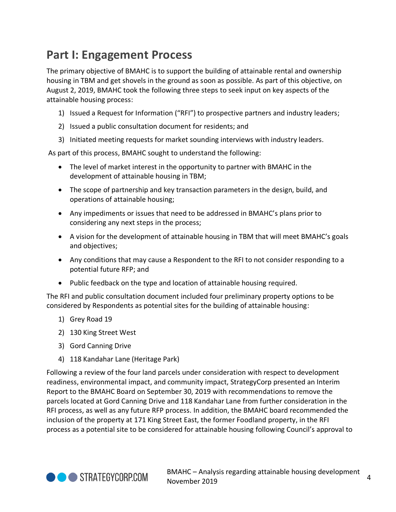# <span id="page-3-0"></span>**Part I: Engagement Process**

The primary objective of BMAHC is to support the building of attainable rental and ownership housing in TBM and get shovels in the ground as soon as possible. As part of this objective, on August 2, 2019, BMAHC took the following three steps to seek input on key aspects of the attainable housing process:

- 1) Issued a Request for Information ("RFI") to prospective partners and industry leaders;
- 2) Issued a public consultation document for residents; and
- 3) Initiated meeting requests for market sounding interviews with industry leaders.

As part of this process, BMAHC sought to understand the following:

- The level of market interest in the opportunity to partner with BMAHC in the development of attainable housing in TBM;
- The scope of partnership and key transaction parameters in the design, build, and operations of attainable housing;
- Any impediments or issues that need to be addressed in BMAHC's plans prior to considering any next steps in the process;
- A vision for the development of attainable housing in TBM that will meet BMAHC's goals and objectives;
- Any conditions that may cause a Respondent to the RFI to not consider responding to a potential future RFP; and
- Public feedback on the type and location of attainable housing required.

The RFI and public consultation document included four preliminary property options to be considered by Respondents as potential sites for the building of attainable housing:

- 1) Grey Road 19
- 2) 130 King Street West
- 3) Gord Canning Drive
- 4) 118 Kandahar Lane (Heritage Park)

Following a review of the four land parcels under consideration with respect to development readiness, environmental impact, and community impact, StrategyCorp presented an Interim Report to the BMAHC Board on September 30, 2019 with recommendations to remove the parcels located at Gord Canning Drive and 118 Kandahar Lane from further consideration in the RFI process, as well as any future RFP process. In addition, the BMAHC board recommended the inclusion of the property at 171 King Street East, the former Foodland property, in the RFI process as a potential site to be considered for attainable housing following Council's approval to

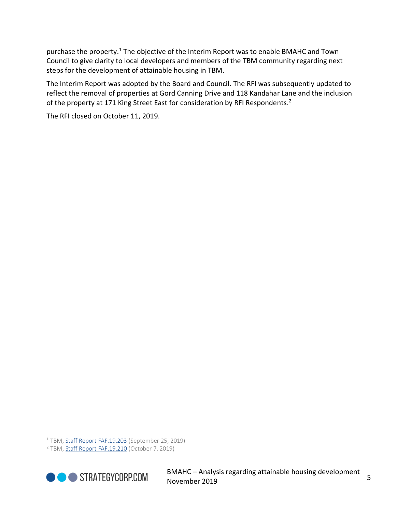purchase the property.<sup>1</sup> The objective of the Interim Report was to enable BMAHC and Town Council to give clarity to local developers and members of the TBM community regarding next steps for the development of attainable housing in TBM.

The Interim Report was adopted by the Board and Council. The RFI was subsequently updated to reflect the removal of properties at Gord Canning Drive and 118 Kandahar Lane and the inclusion of the property at 171 King Street East for consideration by RFI Respondents.<sup>2</sup>

The RFI closed on October 11, 2019.

<sup>2</sup> TBM, [Staff Report FAF.19.210](https://thebluemountains.ca/document_viewer.cfm?event_doc=2549) (October 7, 2019)



<sup>&</sup>lt;sup>1</sup> TBM, [Staff Report FAF.19.203](https://thebluemountains.ca/document_viewer.cfm?event_doc=2494) (September 25, 2019)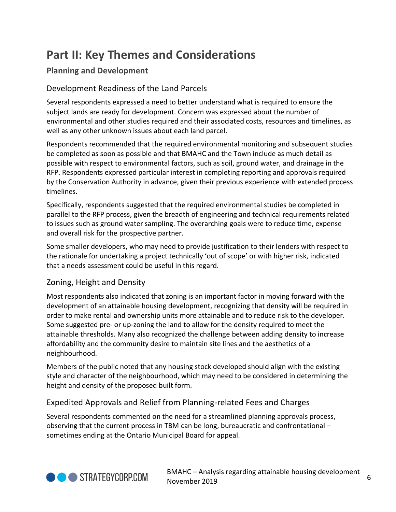# <span id="page-5-0"></span>**Part II: Key Themes and Considerations**

# <span id="page-5-1"></span>**Planning and Development**

## <span id="page-5-2"></span>Development Readiness of the Land Parcels

Several respondents expressed a need to better understand what is required to ensure the subject lands are ready for development. Concern was expressed about the number of environmental and other studies required and their associated costs, resources and timelines, as well as any other unknown issues about each land parcel.

Respondents recommended that the required environmental monitoring and subsequent studies be completed as soon as possible and that BMAHC and the Town include as much detail as possible with respect to environmental factors, such as soil, ground water, and drainage in the RFP. Respondents expressed particular interest in completing reporting and approvals required by the Conservation Authority in advance, given their previous experience with extended process timelines.

Specifically, respondents suggested that the required environmental studies be completed in parallel to the RFP process, given the breadth of engineering and technical requirements related to issues such as ground water sampling. The overarching goals were to reduce time, expense and overall risk for the prospective partner.

Some smaller developers, who may need to provide justification to their lenders with respect to the rationale for undertaking a project technically 'out of scope' or with higher risk, indicated that a needs assessment could be useful in this regard.

## <span id="page-5-3"></span>Zoning, Height and Density

Most respondents also indicated that zoning is an important factor in moving forward with the development of an attainable housing development, recognizing that density will be required in order to make rental and ownership units more attainable and to reduce risk to the developer. Some suggested pre- or up-zoning the land to allow for the density required to meet the attainable thresholds. Many also recognized the challenge between adding density to increase affordability and the community desire to maintain site lines and the aesthetics of a neighbourhood.

Members of the public noted that any housing stock developed should align with the existing style and character of the neighbourhood, which may need to be considered in determining the height and density of the proposed built form.

## <span id="page-5-4"></span>Expedited Approvals and Relief from Planning-related Fees and Charges

Several respondents commented on the need for a streamlined planning approvals process, observing that the current process in TBM can be long, bureaucratic and confrontational – sometimes ending at the Ontario Municipal Board for appeal.

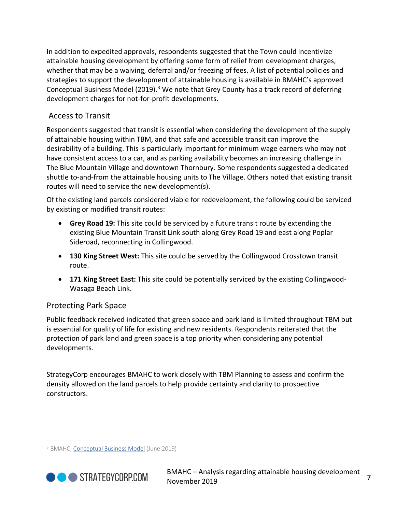In addition to expedited approvals, respondents suggested that the Town could incentivize attainable housing development by offering some form of relief from development charges, whether that may be a waiving, deferral and/or freezing of fees. A list of potential policies and strategies to support the development of attainable housing is available in BMAHC's approved Conceptual Business Model (2019).<sup>3</sup> We note that Grey County has a track record of deferring development charges for not-for-profit developments.

## <span id="page-6-0"></span>Access to Transit

Respondents suggested that transit is essential when considering the development of the supply of attainable housing within TBM, and that safe and accessible transit can improve the desirability of a building. This is particularly important for minimum wage earners who may not have consistent access to a car, and as parking availability becomes an increasing challenge in The Blue Mountain Village and downtown Thornbury. Some respondents suggested a dedicated shuttle to-and-from the attainable housing units to The Village. Others noted that existing transit routes will need to service the new development(s).

Of the existing land parcels considered viable for redevelopment, the following could be serviced by existing or modified transit routes:

- **Grey Road 19:** This site could be serviced by a future transit route by extending the existing Blue Mountain Transit Link south along Grey Road 19 and east along Poplar Sideroad, reconnecting in Collingwood.
- **130 King Street West:** This site could be served by the Collingwood Crosstown transit route.
- **171 King Street East:** This site could be potentially serviced by the existing Collingwood-Wasaga Beach Link.

## <span id="page-6-1"></span>Protecting Park Space

Public feedback received indicated that green space and park land is limited throughout TBM but is essential for quality of life for existing and new residents. Respondents reiterated that the protection of park land and green space is a top priority when considering any potential developments.

StrategyCorp encourages BMAHC to work closely with TBM Planning to assess and confirm the density allowed on the land parcels to help provide certainty and clarity to prospective constructors.

<sup>3</sup> BMAHC[, Conceptual Business Model](https://thebluemountains.ca/document_viewer.cfm?doc=956) (June 2019)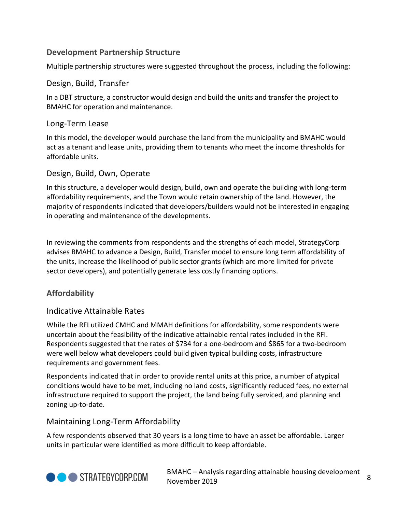## <span id="page-7-0"></span>**Development Partnership Structure**

Multiple partnership structures were suggested throughout the process, including the following:

### <span id="page-7-2"></span>Design, Build, Transfer

In a DBT structure, a constructor would design and build the units and transfer the project to BMAHC for operation and maintenance.

### <span id="page-7-3"></span>Long-Term Lease

In this model, the developer would purchase the land from the municipality and BMAHC would act as a tenant and lease units, providing them to tenants who meet the income thresholds for affordable units.

### <span id="page-7-1"></span>Design, Build, Own, Operate

In this structure, a developer would design, build, own and operate the building with long-term affordability requirements, and the Town would retain ownership of the land. However, the majority of respondents indicated that developers/builders would not be interested in engaging in operating and maintenance of the developments.

In reviewing the comments from respondents and the strengths of each model, StrategyCorp advises BMAHC to advance a Design, Build, Transfer model to ensure long term affordability of the units, increase the likelihood of public sector grants (which are more limited for private sector developers), and potentially generate less costly financing options.

## <span id="page-7-4"></span>**Affordability**

### <span id="page-7-5"></span>Indicative Attainable Rates

While the RFI utilized CMHC and MMAH definitions for affordability, some respondents were uncertain about the feasibility of the indicative attainable rental rates included in the RFI. Respondents suggested that the rates of \$734 for a one-bedroom and \$865 for a two-bedroom were well below what developers could build given typical building costs, infrastructure requirements and government fees.

Respondents indicated that in order to provide rental units at this price, a number of atypical conditions would have to be met, including no land costs, significantly reduced fees, no external infrastructure required to support the project, the land being fully serviced, and planning and zoning up-to-date.

### <span id="page-7-6"></span>Maintaining Long-Term Affordability

A few respondents observed that 30 years is a long time to have an asset be affordable. Larger units in particular were identified as more difficult to keep affordable.



BMAHC – Analysis regarding attainable housing development november 2019<br>November 2019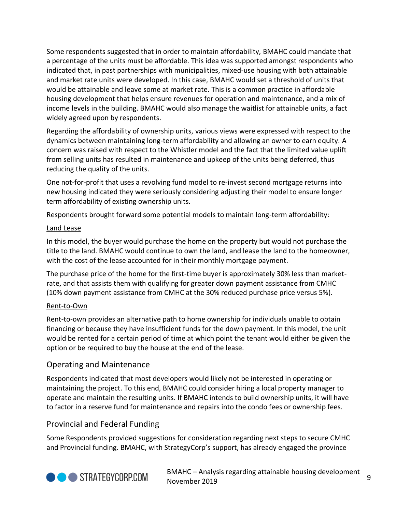Some respondents suggested that in order to maintain affordability, BMAHC could mandate that a percentage of the units must be affordable. This idea was supported amongst respondents who indicated that, in past partnerships with municipalities, mixed-use housing with both attainable and market rate units were developed. In this case, BMAHC would set a threshold of units that would be attainable and leave some at market rate. This is a common practice in affordable housing development that helps ensure revenues for operation and maintenance, and a mix of income levels in the building. BMAHC would also manage the waitlist for attainable units, a fact widely agreed upon by respondents.

Regarding the affordability of ownership units, various views were expressed with respect to the dynamics between maintaining long-term affordability and allowing an owner to earn equity. A concern was raised with respect to the Whistler model and the fact that the limited value uplift from selling units has resulted in maintenance and upkeep of the units being deferred, thus reducing the quality of the units.

One not-for-profit that uses a revolving fund model to re-invest second mortgage returns into new housing indicated they were seriously considering adjusting their model to ensure longer term affordability of existing ownership units.

Respondents brought forward some potential models to maintain long-term affordability:

### Land Lease

In this model, the buyer would purchase the home on the property but would not purchase the title to the land. BMAHC would continue to own the land, and lease the land to the homeowner, with the cost of the lease accounted for in their monthly mortgage payment.

The purchase price of the home for the first-time buyer is approximately 30% less than marketrate, and that assists them with qualifying for greater down payment assistance from CMHC (10% down payment assistance from CMHC at the 30% reduced purchase price versus 5%).

# Rent-to-Own

Rent-to-own provides an alternative path to home ownership for individuals unable to obtain financing or because they have insufficient funds for the down payment. In this model, the unit would be rented for a certain period of time at which point the tenant would either be given the option or be required to buy the house at the end of the lease.

# <span id="page-8-0"></span>Operating and Maintenance

Respondents indicated that most developers would likely not be interested in operating or maintaining the project. To this end, BMAHC could consider hiring a local property manager to operate and maintain the resulting units. If BMAHC intends to build ownership units, it will have to factor in a reserve fund for maintenance and repairs into the condo fees or ownership fees.

# <span id="page-8-1"></span>Provincial and Federal Funding

Some Respondents provided suggestions for consideration regarding next steps to secure CMHC and Provincial funding. BMAHC, with StrategyCorp's support, has already engaged the province



BMAHC – Analysis regarding attainable housing development 9 Division Charles Countries is a comparable in the second process.<br>9 November 2019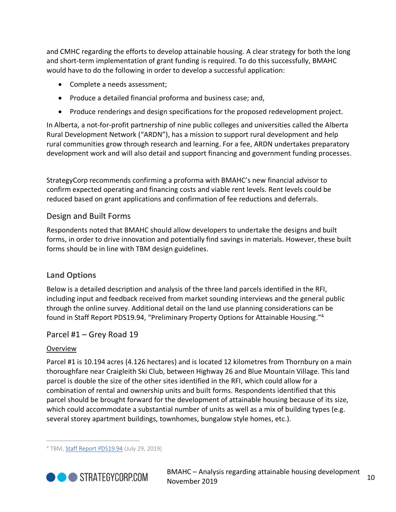and CMHC regarding the efforts to develop attainable housing. A clear strategy for both the long and short-term implementation of grant funding is required. To do this successfully, BMAHC would have to do the following in order to develop a successful application:

- Complete a needs assessment;
- Produce a detailed financial proforma and business case; and,
- Produce renderings and design specifications for the proposed redevelopment project.

In Alberta, a not-for-profit partnership of nine public colleges and universities called the Alberta Rural Development Network ("ARDN"), has a mission to support rural development and help rural communities grow through research and learning. For a fee, ARDN undertakes preparatory development work and will also detail and support financing and government funding processes.

<span id="page-9-0"></span>StrategyCorp recommends confirming a proforma with BMAHC's new financial advisor to confirm expected operating and financing costs and viable rent levels. Rent levels could be reduced based on grant applications and confirmation of fee reductions and deferrals.

### Design and Built Forms

Respondents noted that BMAHC should allow developers to undertake the designs and built forms, in order to drive innovation and potentially find savings in materials. However, these built forms should be in line with TBM design guidelines.

### <span id="page-9-1"></span>**Land Options**

Below is a detailed description and analysis of the three land parcels identified in the RFI, including input and feedback received from market sounding interviews and the general public through the online survey. Additional detail on the land use planning considerations can be found in Staff Report PDS19.94, "Preliminary Property Options for Attainable Housing."<sup>4</sup>

### <span id="page-9-2"></span>Parcel #1 – Grey Road 19

### Overview

Parcel #1 is 10.194 acres (4.126 hectares) and is located 12 kilometres from Thornbury on a main thoroughfare near Craigleith Ski Club, between Highway 26 and Blue Mountain Village. This land parcel is double the size of the other sites identified in the RFI, which could allow for a combination of rental and ownership units and built forms. Respondents identified that this parcel should be brought forward for the development of attainable housing because of its size, which could accommodate a substantial number of units as well as a mix of building types (e.g. several storey apartment buildings, townhomes, bungalow style homes, etc.).

 $4$  TBM, [Staff Report PDS19.94](https://thebluemountains.ca/document_viewer.cfm?event_doc=2222) (July 29, 2019)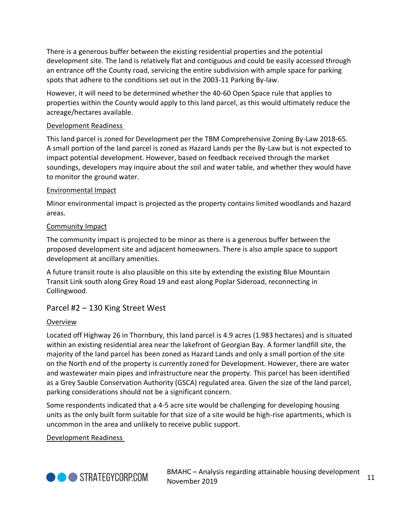There is a generous buffer between the existing residential properties and the potential development site. The land is relatively flat and contiguous and could be easily accessed through an entrance off the County road, servicing the entire subdivision with ample space for parking spots that adhere to the conditions set out in the 2003-11 Parking By-law.

However, it will need to be determined whether the 40-60 Open Space rule that applies to properties within the County would apply to this land parcel, as this would ultimately reduce the acreage/hectares available.

### Development Readiness

This land parcel is zoned for Development per the TBM Comprehensive Zoning By-Law 2018-65. A small portion of the land parcel is zoned as Hazard Lands per the By-Law but is not expected to impact potential development. However, based on feedback received through the market soundings, developers may inquire about the soil and water table, and whether they would have to monitor the ground water.

### Environmental Impact

Minor environmental impact is projected as the property contains limited woodlands and hazard areas.

### Community Impact

The community impact is projected to be minor as there is a generous buffer between the proposed development site and adjacent homeowners. There is also ample space to support development at ancillary amenities.

A future transit route is also plausible on this site by extending the existing Blue Mountain Transit Link south along Grey Road 19 and east along Poplar Sideroad, reconnecting in Collingwood.

### <span id="page-10-0"></span>Parcel #2 – 130 King Street West

### Overview

Located off Highway 26 in Thornbury, this land parcel is 4.9 acres (1.983 hectares) and is situated within an existing residential area near the lakefront of Georgian Bay. A former landfill site, the majority of the land parcel has been zoned as Hazard Lands and only a small portion of the site on the North end of the property is currently zoned for Development. However, there are water and wastewater main pipes and infrastructure near the property. This parcel has been identified as a Grey Sauble Conservation Authority (GSCA) regulated area. Given the size of the land parcel, parking considerations should not be a significant concern.

Some respondents indicated that a 4-5 acre site would be challenging for developing housing units as the only built form suitable for that size of a site would be high-rise apartments, which is uncommon in the area and unlikely to receive public support.

Development Readiness

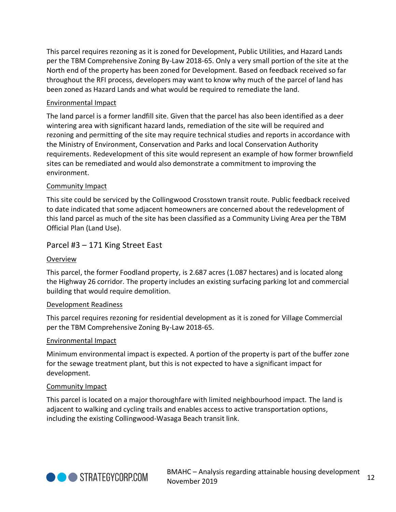This parcel requires rezoning as it is zoned for Development, Public Utilities, and Hazard Lands per the TBM Comprehensive Zoning By-Law 2018-65. Only a very small portion of the site at the North end of the property has been zoned for Development. Based on feedback received so far throughout the RFI process, developers may want to know why much of the parcel of land has been zoned as Hazard Lands and what would be required to remediate the land.

### Environmental Impact

The land parcel is a former landfill site. Given that the parcel has also been identified as a deer wintering area with significant hazard lands, remediation of the site will be required and rezoning and permitting of the site may require technical studies and reports in accordance with the Ministry of Environment, Conservation and Parks and local Conservation Authority requirements. Redevelopment of this site would represent an example of how former brownfield sites can be remediated and would also demonstrate a commitment to improving the environment.

### Community Impact

This site could be serviced by the Collingwood Crosstown transit route. Public feedback received to date indicated that some adjacent homeowners are concerned about the redevelopment of this land parcel as much of the site has been classified as a Community Living Area per the TBM Official Plan (Land Use).

### <span id="page-11-0"></span>Parcel #3 – 171 King Street East

### Overview

This parcel, the former Foodland property, is 2.687 acres (1.087 hectares) and is located along the Highway 26 corridor. The property includes an existing surfacing parking lot and commercial building that would require demolition.

### Development Readiness

This parcel requires rezoning for residential development as it is zoned for Village Commercial per the TBM Comprehensive Zoning By-Law 2018-65.

### Environmental Impact

Minimum environmental impact is expected. A portion of the property is part of the buffer zone for the sewage treatment plant, but this is not expected to have a significant impact for development.

### Community Impact

This parcel is located on a major thoroughfare with limited neighbourhood impact. The land is adjacent to walking and cycling trails and enables access to active transportation options, including the existing Collingwood-Wasaga Beach transit link.